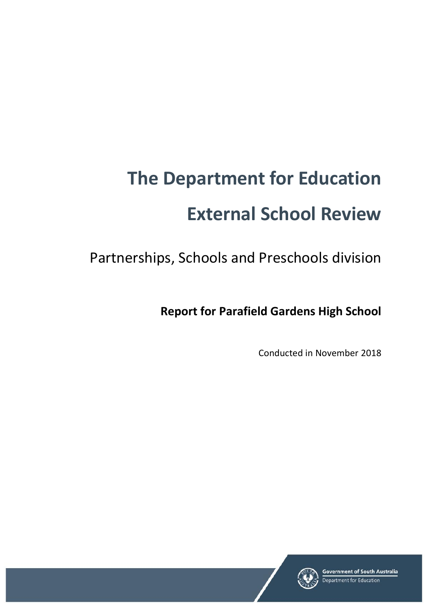# **The Department for Education External School Review**

Partnerships, Schools and Preschools division

**Report for Parafield Gardens High School**

Conducted in November 2018

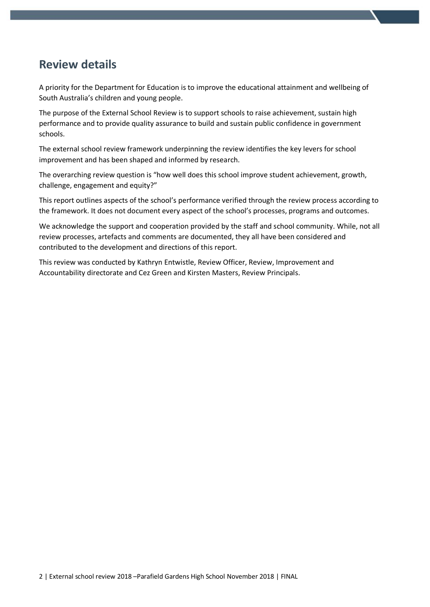## **Review details**

A priority for the Department for Education is to improve the educational attainment and wellbeing of South Australia's children and young people.

The purpose of the External School Review is to support schools to raise achievement, sustain high performance and to provide quality assurance to build and sustain public confidence in government schools.

The external school review framework underpinning the review identifies the key levers for school improvement and has been shaped and informed by research.

The overarching review question is "how well does this school improve student achievement, growth, challenge, engagement and equity?"

This report outlines aspects of the school's performance verified through the review process according to the framework. It does not document every aspect of the school's processes, programs and outcomes.

We acknowledge the support and cooperation provided by the staff and school community. While, not all review processes, artefacts and comments are documented, they all have been considered and contributed to the development and directions of this report.

This review was conducted by Kathryn Entwistle, Review Officer, Review, Improvement and Accountability directorate and Cez Green and Kirsten Masters, Review Principals.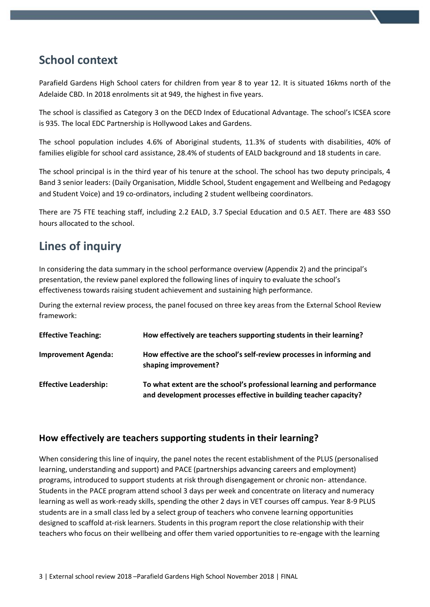# **School context**

Parafield Gardens High School caters for children from year 8 to year 12. It is situated 16kms north of the Adelaide CBD. In 2018 enrolments sit at 949, the highest in five years.

The school is classified as Category 3 on the DECD Index of Educational Advantage. The school's ICSEA score is 935. The local EDC Partnership is Hollywood Lakes and Gardens.

The school population includes 4.6% of Aboriginal students, 11.3% of students with disabilities, 40% of families eligible for school card assistance, 28.4% of students of EALD background and 18 students in care.

The school principal is in the third year of his tenure at the school. The school has two deputy principals, 4 Band 3 senior leaders: (Daily Organisation, Middle School, Student engagement and Wellbeing and Pedagogy and Student Voice) and 19 co-ordinators, including 2 student wellbeing coordinators.

There are 75 FTE teaching staff, including 2.2 EALD, 3.7 Special Education and 0.5 AET. There are 483 SSO hours allocated to the school.

# **Lines of inquiry**

In considering the data summary in the school performance overview (Appendix 2) and the principal's presentation, the review panel explored the following lines of inquiry to evaluate the school's effectiveness towards raising student achievement and sustaining high performance.

During the external review process, the panel focused on three key areas from the External School Review framework:

| <b>Effective Teaching:</b>   | How effectively are teachers supporting students in their learning?                                                                        |
|------------------------------|--------------------------------------------------------------------------------------------------------------------------------------------|
| <b>Improvement Agenda:</b>   | How effective are the school's self-review processes in informing and<br>shaping improvement?                                              |
| <b>Effective Leadership:</b> | To what extent are the school's professional learning and performance<br>and development processes effective in building teacher capacity? |

## **How effectively are teachers supporting students in their learning?**

When considering this line of inquiry, the panel notes the recent establishment of the PLUS (personalised learning, understanding and support) and PACE (partnerships advancing careers and employment) programs, introduced to support students at risk through disengagement or chronic non- attendance. Students in the PACE program attend school 3 days per week and concentrate on literacy and numeracy learning as well as work-ready skills, spending the other 2 days in VET courses off campus. Year 8-9 PLUS students are in a small class led by a select group of teachers who convene learning opportunities designed to scaffold at-risk learners. Students in this program report the close relationship with their teachers who focus on their wellbeing and offer them varied opportunities to re-engage with the learning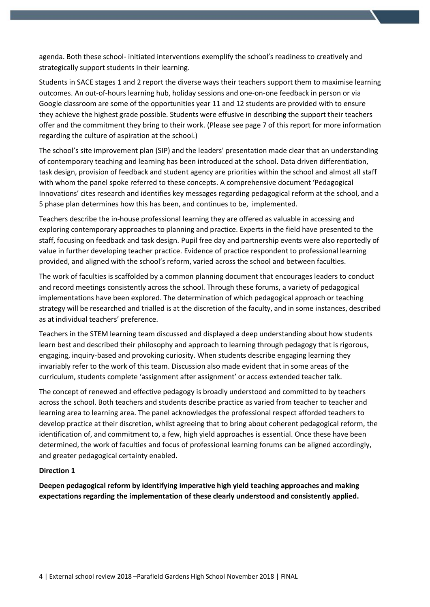agenda. Both these school- initiated interventions exemplify the school's readiness to creatively and strategically support students in their learning.

Students in SACE stages 1 and 2 report the diverse ways their teachers support them to maximise learning outcomes. An out-of-hours learning hub, holiday sessions and one-on-one feedback in person or via Google classroom are some of the opportunities year 11 and 12 students are provided with to ensure they achieve the highest grade possible. Students were effusive in describing the support their teachers offer and the commitment they bring to their work. (Please see page 7 of this report for more information regarding the culture of aspiration at the school.)

The school's site improvement plan (SIP) and the leaders' presentation made clear that an understanding of contemporary teaching and learning has been introduced at the school. Data driven differentiation, task design, provision of feedback and student agency are priorities within the school and almost all staff with whom the panel spoke referred to these concepts. A comprehensive document 'Pedagogical Innovations' cites research and identifies key messages regarding pedagogical reform at the school, and a 5 phase plan determines how this has been, and continues to be, implemented.

Teachers describe the in-house professional learning they are offered as valuable in accessing and exploring contemporary approaches to planning and practice. Experts in the field have presented to the staff, focusing on feedback and task design. Pupil free day and partnership events were also reportedly of value in further developing teacher practice. Evidence of practice respondent to professional learning provided, and aligned with the school's reform, varied across the school and between faculties.

The work of faculties is scaffolded by a common planning document that encourages leaders to conduct and record meetings consistently across the school. Through these forums, a variety of pedagogical implementations have been explored. The determination of which pedagogical approach or teaching strategy will be researched and trialled is at the discretion of the faculty, and in some instances, described as at individual teachers' preference.

Teachers in the STEM learning team discussed and displayed a deep understanding about how students learn best and described their philosophy and approach to learning through pedagogy that is rigorous, engaging, inquiry-based and provoking curiosity. When students describe engaging learning they invariably refer to the work of this team. Discussion also made evident that in some areas of the curriculum, students complete 'assignment after assignment' or access extended teacher talk.

The concept of renewed and effective pedagogy is broadly understood and committed to by teachers across the school. Both teachers and students describe practice as varied from teacher to teacher and learning area to learning area. The panel acknowledges the professional respect afforded teachers to develop practice at their discretion, whilst agreeing that to bring about coherent pedagogical reform, the identification of, and commitment to, a few, high yield approaches is essential. Once these have been determined, the work of faculties and focus of professional learning forums can be aligned accordingly, and greater pedagogical certainty enabled.

#### **Direction 1**

**Deepen pedagogical reform by identifying imperative high yield teaching approaches and making expectations regarding the implementation of these clearly understood and consistently applied.**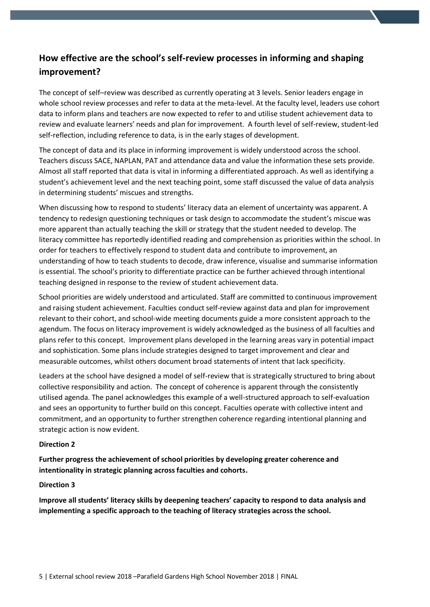## **How effective are the school's self-review processes in informing and shaping improvement?**

The concept of self–review was described as currently operating at 3 levels. Senior leaders engage in whole school review processes and refer to data at the meta-level. At the faculty level, leaders use cohort data to inform plans and teachers are now expected to refer to and utilise student achievement data to review and evaluate learners' needs and plan for improvement. A fourth level of self-review, student-led self-reflection, including reference to data, is in the early stages of development.

The concept of data and its place in informing improvement is widely understood across the school. Teachers discuss SACE, NAPLAN, PAT and attendance data and value the information these sets provide. Almost all staff reported that data is vital in informing a differentiated approach. As well as identifying a student's achievement level and the next teaching point, some staff discussed the value of data analysis in determining students' miscues and strengths.

When discussing how to respond to students' literacy data an element of uncertainty was apparent. A tendency to redesign questioning techniques or task design to accommodate the student's miscue was more apparent than actually teaching the skill or strategy that the student needed to develop. The literacy committee has reportedly identified reading and comprehension as priorities within the school. In order for teachers to effectively respond to student data and contribute to improvement, an understanding of how to teach students to decode, draw inference, visualise and summarise information is essential. The school's priority to differentiate practice can be further achieved through intentional teaching designed in response to the review of student achievement data.

School priorities are widely understood and articulated. Staff are committed to continuous improvement and raising student achievement. Faculties conduct self-review against data and plan for improvement relevant to their cohort, and school-wide meeting documents guide a more consistent approach to the agendum. The focus on literacy improvement is widely acknowledged as the business of all faculties and plans refer to this concept. Improvement plans developed in the learning areas vary in potential impact and sophistication. Some plans include strategies designed to target improvement and clear and measurable outcomes, whilst others document broad statements of intent that lack specificity.

Leaders at the school have designed a model of self-review that is strategically structured to bring about collective responsibility and action. The concept of coherence is apparent through the consistently utilised agenda. The panel acknowledges this example of a well-structured approach to self-evaluation and sees an opportunity to further build on this concept. Faculties operate with collective intent and commitment, and an opportunity to further strengthen coherence regarding intentional planning and strategic action is now evident.

#### **Direction 2**

**Further progress the achievement of school priorities by developing greater coherence and intentionality in strategic planning across faculties and cohorts.**

#### **Direction 3**

**Improve all students' literacy skills by deepening teachers' capacity to respond to data analysis and implementing a specific approach to the teaching of literacy strategies across the school.**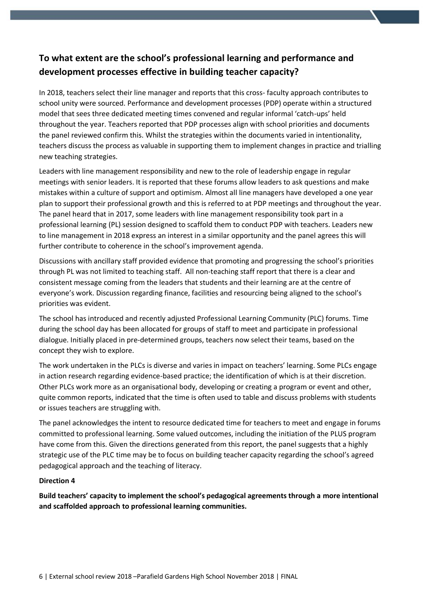## **To what extent are the school's professional learning and performance and development processes effective in building teacher capacity?**

In 2018, teachers select their line manager and reports that this cross- faculty approach contributes to school unity were sourced. Performance and development processes (PDP) operate within a structured model that sees three dedicated meeting times convened and regular informal 'catch-ups' held throughout the year. Teachers reported that PDP processes align with school priorities and documents the panel reviewed confirm this. Whilst the strategies within the documents varied in intentionality, teachers discuss the process as valuable in supporting them to implement changes in practice and trialling new teaching strategies.

Leaders with line management responsibility and new to the role of leadership engage in regular meetings with senior leaders. It is reported that these forums allow leaders to ask questions and make mistakes within a culture of support and optimism. Almost all line managers have developed a one year plan to support their professional growth and this is referred to at PDP meetings and throughout the year. The panel heard that in 2017, some leaders with line management responsibility took part in a professional learning (PL) session designed to scaffold them to conduct PDP with teachers. Leaders new to line management in 2018 express an interest in a similar opportunity and the panel agrees this will further contribute to coherence in the school's improvement agenda.

Discussions with ancillary staff provided evidence that promoting and progressing the school's priorities through PL was not limited to teaching staff. All non-teaching staff report that there is a clear and consistent message coming from the leaders that students and their learning are at the centre of everyone's work. Discussion regarding finance, facilities and resourcing being aligned to the school's priorities was evident.

The school has introduced and recently adjusted Professional Learning Community (PLC) forums. Time during the school day has been allocated for groups of staff to meet and participate in professional dialogue. Initially placed in pre-determined groups, teachers now select their teams, based on the concept they wish to explore.

The work undertaken in the PLCs is diverse and varies in impact on teachers' learning. Some PLCs engage in action research regarding evidence-based practice; the identification of which is at their discretion. Other PLCs work more as an organisational body, developing or creating a program or event and other, quite common reports, indicated that the time is often used to table and discuss problems with students or issues teachers are struggling with.

The panel acknowledges the intent to resource dedicated time for teachers to meet and engage in forums committed to professional learning. Some valued outcomes, including the initiation of the PLUS program have come from this. Given the directions generated from this report, the panel suggests that a highly strategic use of the PLC time may be to focus on building teacher capacity regarding the school's agreed pedagogical approach and the teaching of literacy.

#### **Direction 4**

**Build teachers' capacity to implement the school's pedagogical agreements through a more intentional and scaffolded approach to professional learning communities.**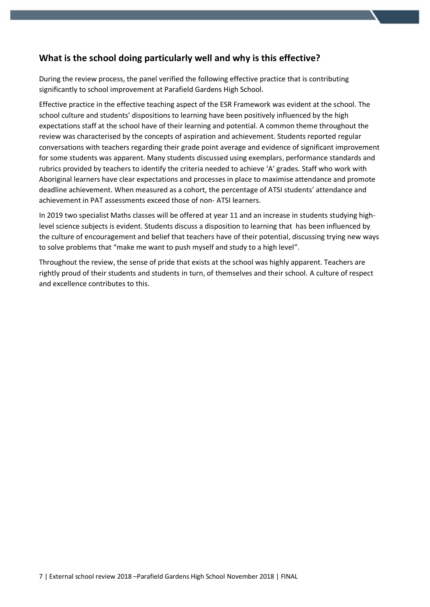## **What is the school doing particularly well and why is this effective?**

During the review process, the panel verified the following effective practice that is contributing significantly to school improvement at Parafield Gardens High School.

Effective practice in the effective teaching aspect of the ESR Framework was evident at the school. The school culture and students' dispositions to learning have been positively influenced by the high expectations staff at the school have of their learning and potential. A common theme throughout the review was characterised by the concepts of aspiration and achievement. Students reported regular conversations with teachers regarding their grade point average and evidence of significant improvement for some students was apparent. Many students discussed using exemplars, performance standards and rubrics provided by teachers to identify the criteria needed to achieve 'A' grades. Staff who work with Aboriginal learners have clear expectations and processes in place to maximise attendance and promote deadline achievement. When measured as a cohort, the percentage of ATSI students' attendance and achievement in PAT assessments exceed those of non- ATSI learners.

In 2019 two specialist Maths classes will be offered at year 11 and an increase in students studying highlevel science subjects is evident. Students discuss a disposition to learning that has been influenced by the culture of encouragement and belief that teachers have of their potential, discussing trying new ways to solve problems that "make me want to push myself and study to a high level".

Throughout the review, the sense of pride that exists at the school was highly apparent. Teachers are rightly proud of their students and students in turn, of themselves and their school. A culture of respect and excellence contributes to this.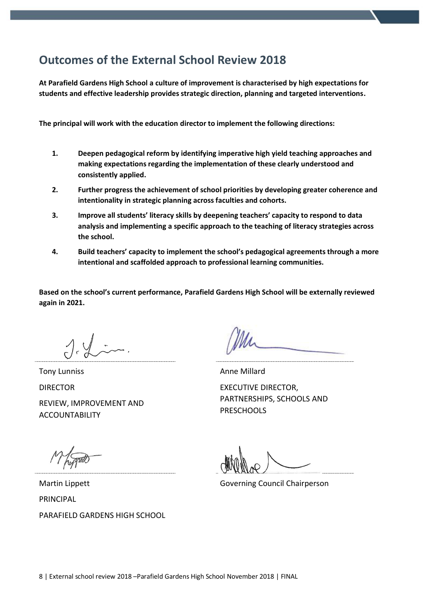# **Outcomes of the External School Review 2018**

**At Parafield Gardens High School a culture of improvement is characterised by high expectations for students and effective leadership provides strategic direction, planning and targeted interventions.** 

**The principal will work with the education director to implement the following directions:** 

- **1. Deepen pedagogical reform by identifying imperative high yield teaching approaches and making expectations regarding the implementation of these clearly understood and consistently applied.**
- **2. Further progress the achievement of school priorities by developing greater coherence and intentionality in strategic planning across faculties and cohorts.**
- **3. Improve all students' literacy skills by deepening teachers' capacity to respond to data analysis and implementing a specific approach to the teaching of literacy strategies across the school.**
- **4. Build teachers' capacity to implement the school's pedagogical agreements through a more intentional and scaffolded approach to professional learning communities.**

**Based on the school's current performance, Parafield Gardens High School will be externally reviewed again in 2021.**

Tony Lunniss DIRECTOR REVIEW, IMPROVEMENT AND ACCOUNTABILITY

Anne Millard

EXECUTIVE DIRECTOR, PARTNERSHIPS, SCHOOLS AND **PRESCHOOLS** 

Governing Council Chairperson

Martin Lippett PRINCIPAL PARAFIELD GARDENS HIGH SCHOOL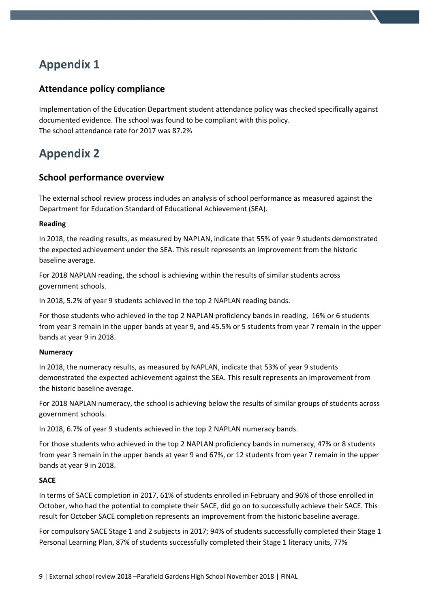# **Appendix 1**

## **Attendance policy compliance**

Implementation of the Education Department student attendance policy was checked specifically against documented evidence. The school was found to be compliant with this policy. The school attendance rate for 2017 was 87.2%

# **Appendix 2**

### **School performance overview**

The external school review process includes an analysis of school performance as measured against the Department for Education Standard of Educational Achievement (SEA).

#### **Reading**

In 2018, the reading results, as measured by NAPLAN, indicate that 55% of year 9 students demonstrated the expected achievement under the SEA. This result represents an improvement from the historic baseline average.

For 2018 NAPLAN reading, the school is achieving within the results of similar students across government schools.

In 2018, 5.2% of year 9 students achieved in the top 2 NAPLAN reading bands.

For those students who achieved in the top 2 NAPLAN proficiency bands in reading, 16% or 6 students from year 3 remain in the upper bands at year 9, and 45.5% or 5 students from year 7 remain in the upper bands at year 9 in 2018.

#### **Numeracy**

In 2018, the numeracy results, as measured by NAPLAN, indicate that 53% of year 9 students demonstrated the expected achievement against the SEA. This result represents an improvement from the historic baseline average.

For 2018 NAPLAN numeracy, the school is achieving below the results of similar groups of students across government schools.

In 2018, 6.7% of year 9 students achieved in the top 2 NAPLAN numeracy bands.

For those students who achieved in the top 2 NAPLAN proficiency bands in numeracy, 47% or 8 students from year 3 remain in the upper bands at year 9 and 67%, or 12 students from year 7 remain in the upper bands at year 9 in 2018.

#### **SACE**

In terms of SACE completion in 2017, 61% of students enrolled in February and 96% of those enrolled in October, who had the potential to complete their SACE, did go on to successfully achieve their SACE. This result for October SACE completion represents an improvement from the historic baseline average.

For compulsory SACE Stage 1 and 2 subjects in 2017; 94% of students successfully completed their Stage 1 Personal Learning Plan, 87% of students successfully completed their Stage 1 literacy units, 77%